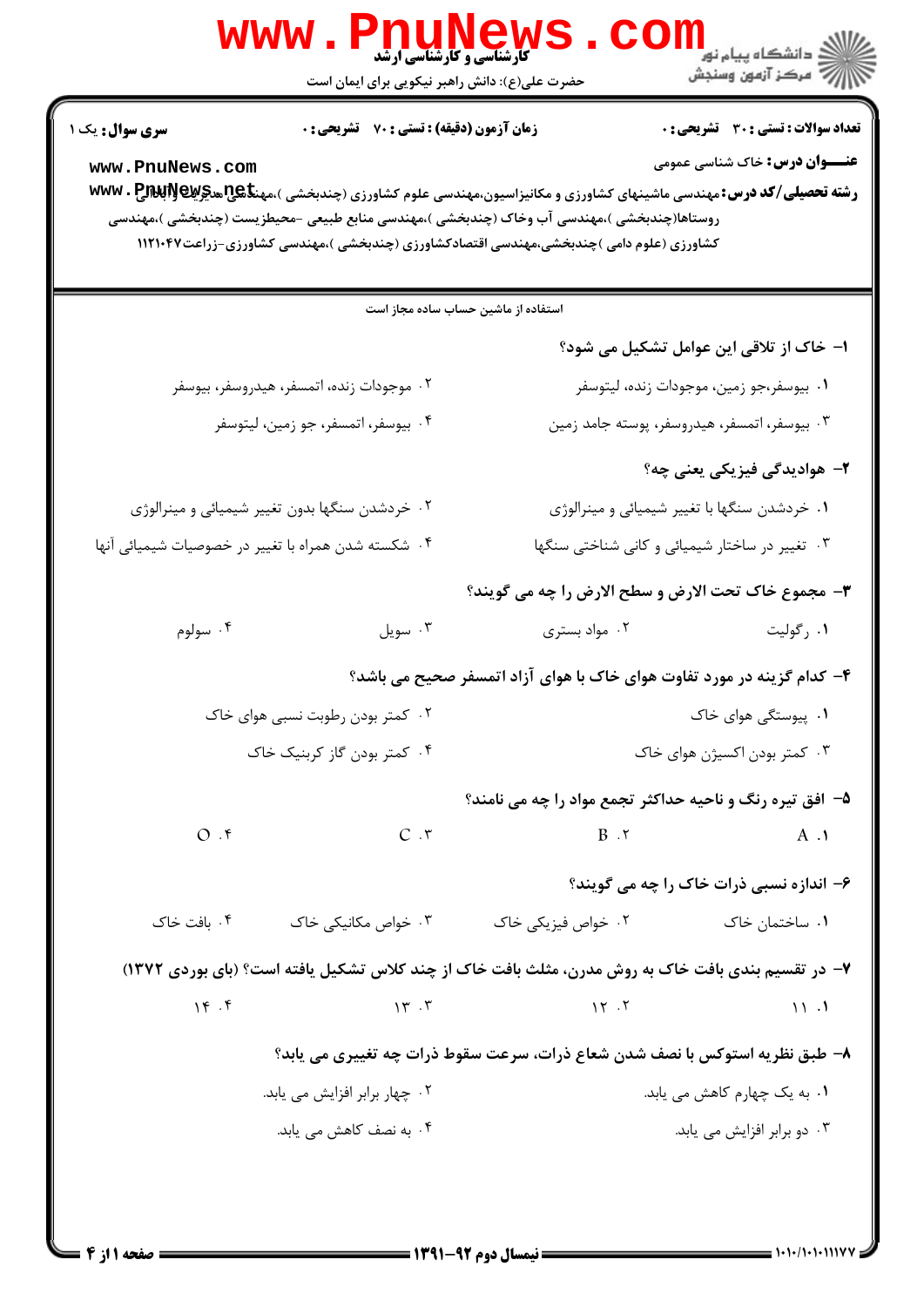|                                                     | WWW.PnuNews<br>حضرت علی(ع): دانش راهبر نیکویی برای ایمان است |                                                                                                                                                                                                                                                                                                                                           | الا دانشگاه پيام نور<br>الا مرکز آزمون وسنجش           |
|-----------------------------------------------------|--------------------------------------------------------------|-------------------------------------------------------------------------------------------------------------------------------------------------------------------------------------------------------------------------------------------------------------------------------------------------------------------------------------------|--------------------------------------------------------|
| <b>سری سوال :</b> یک ۱                              | <b>زمان آزمون (دقیقه) : تستی : 70 ٪ تشریحی : 0</b>           |                                                                                                                                                                                                                                                                                                                                           | <b>تعداد سوالات : تستی : 30 ٪ تشریحی : 0</b>           |
| www.PnuNews.com                                     |                                                              | <b>رشته تحصیلی/کد درس:</b> مهندسی ماشینهای کشاورزی و مکانیزاسیون،مهندسی علوم کشاورزی (چندبخشی )،مهن <del>نای[پیچ پیچ آ</del> پایا <b>WWV</b> . P<br>روستاها(چندبخشی )،مهندسی آب وخاک (چندبخشی )،مهندسی منابع طبیعی –محیطزیست (چندبخشی )،مهندسی<br>کشاورزی (علوم دامی )چندبخشی،مهندسی اقتصادکشاورزی (چندبخشی )،مهندسی کشاورزی-زراعت۱۱۲۱۰۴۷ | <b>عنـــوان درس:</b> خاک شناسی عمومی                   |
|                                                     |                                                              | استفاده از ماشین حساب ساده مجاز است                                                                                                                                                                                                                                                                                                       |                                                        |
|                                                     |                                                              |                                                                                                                                                                                                                                                                                                                                           | ا– خاک از تلاقی این عوامل تشکیل می شود؟                |
|                                                     | ۰۲ موجودات زنده، اتمسفر، هیدروسفر، بیوسفر                    |                                                                                                                                                                                                                                                                                                                                           | ۰ <mark>۱</mark> بیوسفر،جو زمین، موجودات زنده، لیتوسفر |
|                                                     | ۰۴ بيوسفر، اتمسفر، جو زمين، ليتوسفر                          |                                                                                                                                                                                                                                                                                                                                           | ۰۳ بیوسفر، اتمسفر، هیدروسفر، پوسته جامد زمین           |
|                                                     |                                                              |                                                                                                                                                                                                                                                                                                                                           | ۲– هوادیدگی فیزیکی یعنی چه؟                            |
|                                                     | ۰۲ خردشدن سنگها بدون تغییر شیمیائی و مینرالوژی               | ۰۱ خردشدن سنگها با تغییر شیمیائی و مینرالوژی                                                                                                                                                                                                                                                                                              |                                                        |
| ۰۴ شکسته شدن همراه با تغییر در خصوصیات شیمیائی آنها |                                                              |                                                                                                                                                                                                                                                                                                                                           | ۰۳ تغییر در ساختار شیمیائی و کانی شناختی سنگها         |
|                                                     |                                                              | ۳- مجموع خاک تحت الارض و سطح الارض را چه می گویند؟                                                                                                                                                                                                                                                                                        |                                                        |
| ۰۴ سولوم                                            | ۰۳ سویل                                                      | ۰۲ مواد بستری                                                                                                                                                                                                                                                                                                                             | ۰۱ رگولیت                                              |
|                                                     |                                                              | ۴- کدام گزینه در مورد تفاوت هوای خاک با هوای آزاد اتمسفر صحیح می باشد؟                                                                                                                                                                                                                                                                    |                                                        |
|                                                     | ۰۲ کمتر بودن رطوبت نسبی هوای خاک                             |                                                                                                                                                                                                                                                                                                                                           | ۰۱ پیوستگی هوای خاک                                    |
|                                                     | ۰۴ کمتر بودن گاز کربنیک خاک                                  |                                                                                                                                                                                                                                                                                                                                           | ۰۳ کمتر بودن اکسیژن هوای خاک                           |
|                                                     |                                                              | ۵- افق تیره رنگ و ناحیه حداکثر تجمع مواد را چه می نامند؟                                                                                                                                                                                                                                                                                  |                                                        |
| O.5                                                 | C.5                                                          | $B \cdot 7$                                                                                                                                                                                                                                                                                                                               | $A \cdot Y$                                            |
|                                                     |                                                              |                                                                                                                                                                                                                                                                                                                                           | ۶- اندازه نسبي ذرات خاک را چه مي گويند؟                |
| ۰۴ بافت خاک                                         | ۰۳ خواص مکانیکی خاک                                          | ۰۲ خواص فیزیکی خاک                                                                                                                                                                                                                                                                                                                        | ۰۱ ساختمان خاک                                         |
|                                                     |                                                              | ۷- در تقسیم بندی بافت خاک به روش مدرن، مثلث بافت خاک از چند کلاس تشکیل یافته است؟ (بای بوردی ۱۳۷۲)                                                                                                                                                                                                                                        |                                                        |
| 15.5                                                | 15.7                                                         | 15.7                                                                                                                                                                                                                                                                                                                                      | 11.1                                                   |
|                                                     |                                                              | ۸- طبق نظریه استوکس با نصف شدن شعاع ذرات، سرعت سقوط ذرات چه تغییری می یابد؟                                                                                                                                                                                                                                                               |                                                        |
|                                                     | ۰۲ چهار برابر افزایش می یابد.                                |                                                                                                                                                                                                                                                                                                                                           | ۰۱ به یک چهارم کاهش می یابد.                           |
|                                                     | ۰۴ به نصف کاهش می یابد.                                      |                                                                                                                                                                                                                                                                                                                                           | ۰۳ دو برابر افزایش می یابد.                            |
|                                                     |                                                              |                                                                                                                                                                                                                                                                                                                                           |                                                        |
|                                                     |                                                              |                                                                                                                                                                                                                                                                                                                                           |                                                        |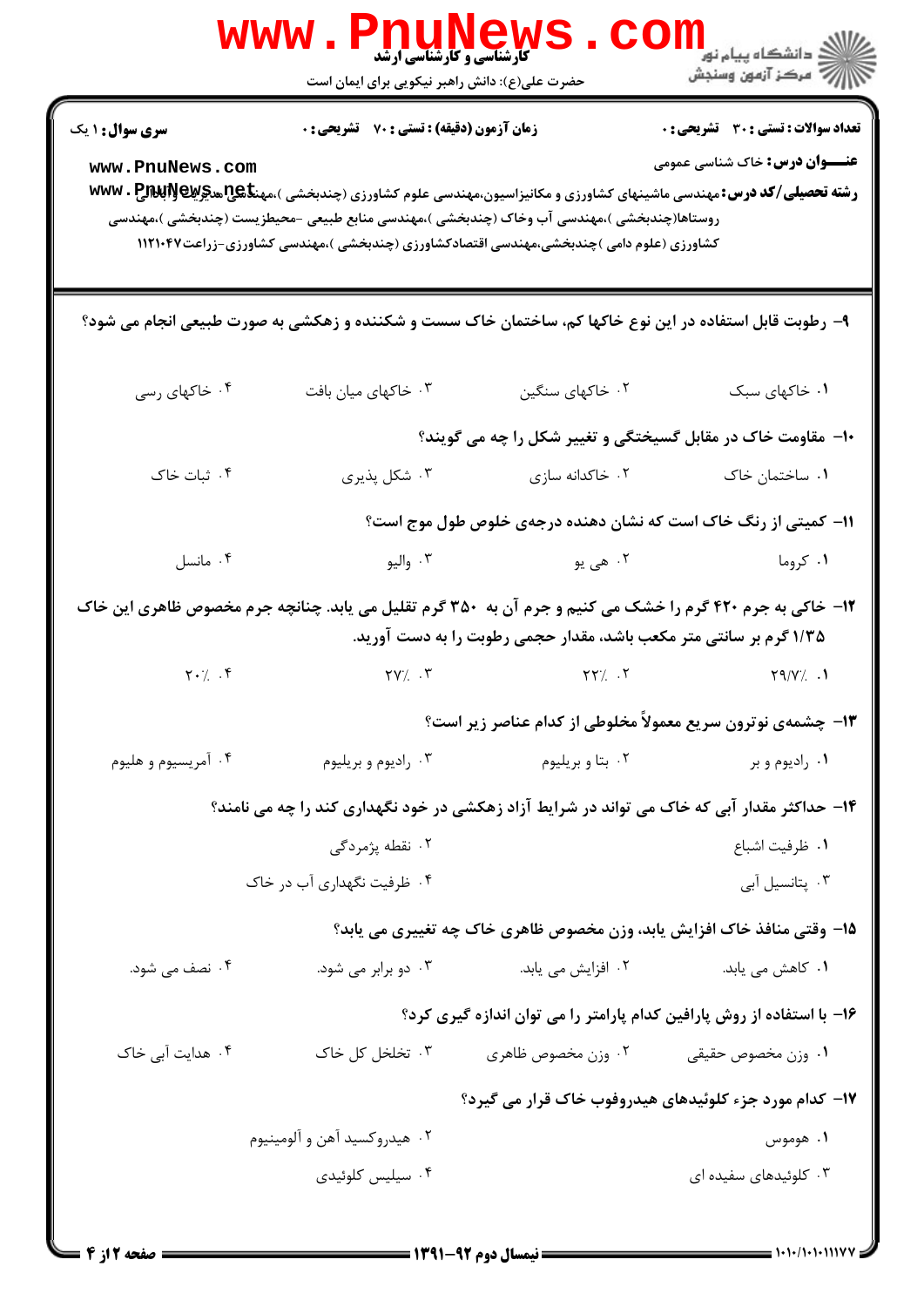| <b>WWW</b>                                   | <b>PNUNEWS</b><br><b>گارشناسی و کارشناسی ارشد</b><br>حضرت علی(ع): دانش راهبر نیکویی برای ایمان است |                                                                                                                                                                                       | الاد دانشگاه پيام نور <mark>- -</mark><br>  //> مرکز آزمون وسنجش                                                                                                              |
|----------------------------------------------|----------------------------------------------------------------------------------------------------|---------------------------------------------------------------------------------------------------------------------------------------------------------------------------------------|-------------------------------------------------------------------------------------------------------------------------------------------------------------------------------|
| <b>سری سوال : ۱ یک</b>                       | <b>زمان آزمون (دقیقه) : تستی : 70 ٪ تشریحی : 0</b>                                                 |                                                                                                                                                                                       | <b>تعداد سوالات : تستی : 30 ٪ تشریحی : 0</b>                                                                                                                                  |
| www.PnuNews.com                              |                                                                                                    | روستاها(چندبخشی )،مهندسی آب وخاک (چندبخشی )،مهندسی منابع طبیعی –محیطزیست (چندبخشی )،مهندسی<br>کشاورزی (علوم دامی )چندبخشی،مهندسی اقتصادکشاورزی (چندبخشی )،مهندسی کشاورزی-زراعت۱۱۲۱۰۴۷ | <b>عنـــوان درس:</b> خاک شناسی عمومی<br><b>رشته تحصیلی/کد درس:</b> مهندسی ماشینهای کشاورزی و مکانیزاسیون،مهندسی علوم کشاورزی (چندبخشی )،مهن <del>تا Q</del> یچ هیچیپی www . P |
|                                              |                                                                                                    |                                                                                                                                                                                       |                                                                                                                                                                               |
|                                              |                                                                                                    |                                                                                                                                                                                       | ۹– رطوبت قابل استفاده در این نوع خاکها کم، ساختمان خاک سست و شکننده و زهکشی به صورت طبیعی انجام می شود؟                                                                       |
| ۰۴ خاکهای رسی                                | ۰۳ خاکهای میان بافت                                                                                | ۰۲ خاکهای سنگین                                                                                                                                                                       | ٠١ خاكهاى سبك                                                                                                                                                                 |
|                                              |                                                                                                    |                                                                                                                                                                                       | <b>۱۰</b> - مقاومت خاک در مقابل گسیختگی و تغییر شکل را چه می گویند؟                                                                                                           |
| ۰۴ ثبات خاک                                  | ۰۳ شکل پذیری                                                                                       | ۰۲ خاکدانه سازی                                                                                                                                                                       | ٠١. ساختمان خاک                                                                                                                                                               |
|                                              |                                                                                                    |                                                                                                                                                                                       | 1۱- کمیتی از رنگ خاک است که نشان دهنده درجهی خلوص طول موج است؟                                                                                                                |
| ۰۴ مانسل                                     | . واليو $\cdot$                                                                                    | ۲. هي يو                                                                                                                                                                              | ۰۱ کروما                                                                                                                                                                      |
|                                              |                                                                                                    | ۱/۳۵ گرم بر سانتی متر مکعب باشد، مقدار حجمی رطوبت را به دست آورید.                                                                                                                    | ۱۲- خاکی به جرم ۴۲۰ گرم را خشک می کنیم و جرم آن به ۳۵۰ گرم تقلیل می یابد. چنانچه جرم مخصوص ظاهری این خاک                                                                      |
| $\mathbf{Y} \cdot \mathbf{A}$ . $\mathbf{Y}$ |                                                                                                    | $\begin{array}{ccc} \uparrow & \uparrow & \downarrow & \uparrow \end{array}$                                                                                                          |                                                                                                                                                                               |
|                                              |                                                                                                    |                                                                                                                                                                                       | ۱۳- چشمهی نوترون سریع معمولاً مخلوطی از کدام عناصر زیر است؟                                                                                                                   |
| ۰۴ آمريسيوم و هليوم                          | ۰۳ راديوم و بريليوم                                                                                | ۰۲ بتا و بریلیوم                                                                                                                                                                      | ۰۱ راديوم و بر                                                                                                                                                                |
|                                              |                                                                                                    |                                                                                                                                                                                       | ۱۴- حداکثر مقدار آبی که خاک می تواند در شرایط آزاد زهکشی در خود نگهداری کند را چه می نامند؟                                                                                   |
|                                              | ۲. نقطه پژمردگی                                                                                    |                                                                                                                                                                                       | ٠١ ظرفيت اشباع                                                                                                                                                                |
|                                              | ۰۴ ظرفیت نگهداری آب در خاک                                                                         |                                                                                                                                                                                       | ۰۳ پتانسیل آبی                                                                                                                                                                |
|                                              |                                                                                                    |                                                                                                                                                                                       | 1۵- وقتی منافذ خاک افزایش یابد، وزن مخصوص ظاهری خاک چه تغییری می یابد؟                                                                                                        |
| ۰۴ نصف می شود.                               | ۰۳ دو برابر می شود.                                                                                | ۰۲ افزایش می یابد.                                                                                                                                                                    | ۰ <b>۱</b> کاهش می یابد.                                                                                                                                                      |
|                                              |                                                                                                    |                                                                                                                                                                                       | ۱۶– با استفاده از روش پارافین کدام پارامتر را می توان اندازه گیری کرد؟                                                                                                        |
| ۰۴ هدایت آبی خاک                             | ۰۳ تخلخل کل خاک                                                                                    | ۰۲ وزن مخصوص ظاهری                                                                                                                                                                    | ٠١. وزن مخصوص حقيقي                                                                                                                                                           |
|                                              |                                                                                                    |                                                                                                                                                                                       | ۱۷– کدام مورد جزء کلوئیدهای هیدروفوب خاک قرار می گیرد؟                                                                                                                        |
|                                              | ۰۲ هیدروکسید آهن و آلومینیوم                                                                       |                                                                                                                                                                                       | ۰۱ هوموس                                                                                                                                                                      |
|                                              | ۰۴ سیلیس کلوئیدی                                                                                   |                                                                                                                                                                                       | ۰۳ کلوئیدهای سفیده ای                                                                                                                                                         |
|                                              |                                                                                                    |                                                                                                                                                                                       |                                                                                                                                                                               |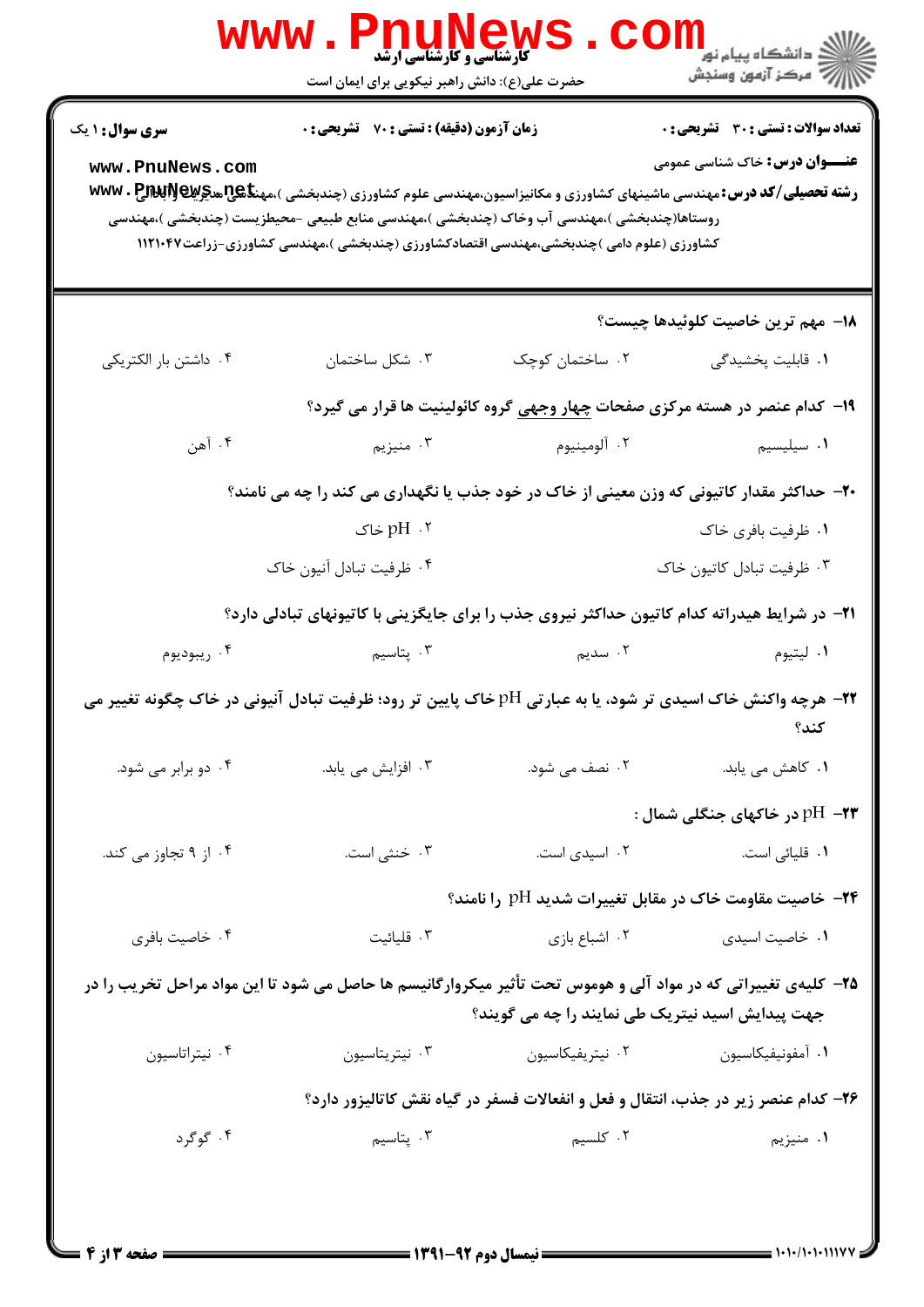|                                           | <b>WWW . PI</b><br><b>INUNEW!</b><br>کارشناسی و کارشناسی ارشد<br>حضرت علی(ع): دانش راهبر نیکویی برای ایمان است                                                                                                                     |                                                  | الان دانشگاه پيام نور دا<br>۱۳۸۱ مرکز آزمون وسنجش                                                                                                                                                                                          |
|-------------------------------------------|------------------------------------------------------------------------------------------------------------------------------------------------------------------------------------------------------------------------------------|--------------------------------------------------|--------------------------------------------------------------------------------------------------------------------------------------------------------------------------------------------------------------------------------------------|
| <b>سری سوال : ۱ یک</b><br>www.PnuNews.com | زمان آزمون (دقیقه) : تستی : 70 گشریحی : 0<br>روستاها(چندبخشی )،مهندسی آب وخاک (چندبخشی )،مهندسی منابع طبیعی –محیطزیست (چندبخشی )،مهندسی<br>کشاورزی (علوم دامی )چندبخشی،مهندسی اقتصادکشاورزی (چندبخشی )،مهندسی کشاورزی-زراعت۱۱۲۱۰۴۷ |                                                  | <b>تعداد سوالات : تستی : 30 ٪ تشریحی : 0</b><br><b>عنـــوان درس:</b> خاک شناسی عمومی<br><b>رشته تحصیلی/کد درس:</b> مهندسی ماشینهای کشاورزی و مکانیزاسیون،مهندسی علوم کشاورزی (چندبخشی )،مهن <del>تا</del> ی بیچی <b>تکلیب بوته www . P</b> |
|                                           |                                                                                                                                                                                                                                    |                                                  | ١٨– مهم ترين خاصيت كلوئيدها چيست؟                                                                                                                                                                                                          |
| ۰۴ داشتن بار الکتریکی                     | ۰۳ شکل ساختمان                                                                                                                                                                                                                     | ۰۲ ساختمان کوچک                                  | <b>۱.</b> قابلیت پخشیدگی                                                                                                                                                                                                                   |
|                                           |                                                                                                                                                                                                                                    |                                                  | ۱۹– کدام عنصر در هسته مرکزی صفحات <u>چهار وجهی</u> گروه کائولینیت ها قرار می گیرد؟                                                                                                                                                         |
| ۰۴ آهن                                    |                                                                                                                                                                                                                                    |                                                  | ۰۱ سیلیسیم                                                                                                                                                                                                                                 |
|                                           |                                                                                                                                                                                                                                    |                                                  | ۲۰- حداکثر مقدار کاتیونی که وزن معینی از خاک در خود جذب یا نگهداری می کند را چه می نامند؟                                                                                                                                                  |
|                                           | pH .۲ خاک                                                                                                                                                                                                                          |                                                  | ۰۱ ظرفیت بافری خاک                                                                                                                                                                                                                         |
|                                           | ۰۴ ظرفيت تبادل آنيون خاك                                                                                                                                                                                                           |                                                  | ۰۳ ظرفیت تبادل کاتیون خاک                                                                                                                                                                                                                  |
|                                           |                                                                                                                                                                                                                                    |                                                  | ۲۱- در شرایط هیدراته کدام کاتیون حداکثر نیروی جذب را برای جایگزینی با کاتیونهای تبادلی دارد؟                                                                                                                                               |
| ۰۴ ريبوديوم                               | بتاسیم $\cdot$ ۳ .                                                                                                                                                                                                                 | ۰۲ سدیم                                          | ۰۱ ليتيوم                                                                                                                                                                                                                                  |
|                                           |                                                                                                                                                                                                                                    |                                                  | <b>۲۲</b> – هرچه واکنش خاک اسیدی تر شود، یا به عبارتی pH خاک پایین تر رود؛ ظرفیت تبادل آنیونی در خاک چگونه تغییر می<br>كند؟                                                                                                                |
| ۰۴ دو برابر می شود.                       | ۰۳ افزایش می یابد.                                                                                                                                                                                                                 | ۰۲ نصف می شود.                                   | ۰۱ کاهش می یابد.                                                                                                                                                                                                                           |
|                                           |                                                                                                                                                                                                                                    |                                                  | ۲۳− pH در خاکهای جنگلی شمال :                                                                                                                                                                                                              |
| ۰۴ از ۹ تجاوز می کند.                     | ۰۳ خنثی است.                                                                                                                                                                                                                       | ۰۲ اسیدی است.                                    | ۰۱ قلیائی است.                                                                                                                                                                                                                             |
|                                           |                                                                                                                                                                                                                                    |                                                  | <b>۳۴</b> - خاصیت مقاومت خاک در مقابل تغییرات شدید pH را نامند؟                                                                                                                                                                            |
| ۰۴ خاصیت بافری                            | ۰۳ قلیائیت                                                                                                                                                                                                                         | ۰۲ اشباع بازی                                    | ٠١. خاصيت اسيدى                                                                                                                                                                                                                            |
|                                           |                                                                                                                                                                                                                                    | جهت پیدایش اسید نیتریک طی نمایند را چه می گویند؟ | ۲۵– کلیهی تغییراتی که در مواد آلی و هوموس تحت تأثیر میکروارگانیسم ها حاصل می شود تا این مواد مراحل تخریب را در                                                                                                                             |
| ۰۴ نیتراتاسیون                            | ۰۳ نیتریتاسیون                                                                                                                                                                                                                     | ۰۲ نیتریفیکاسیون                                 | ٠١ آمفونيفيكاسيون                                                                                                                                                                                                                          |
|                                           |                                                                                                                                                                                                                                    |                                                  | ۲۶- کدام عنصر زیر در جذب، انتقال و فعل و انفعالات فسفر در گیاه نقش کاتالیزور دارد؟                                                                                                                                                         |
| ۰۴ گوگرد                                  | ۰۳ پتاسیم                                                                                                                                                                                                                          | ۲. کلسیم                                         | ۰۱ منیزیم                                                                                                                                                                                                                                  |
|                                           |                                                                                                                                                                                                                                    |                                                  |                                                                                                                                                                                                                                            |

**= نیمسال دوم ۹۲-۱۳۹۱ <del>- - - ۰</del>۰۰** 

 $= 1.1 - (1.1.111V$ 

**: صفحه 3 از 4 =**